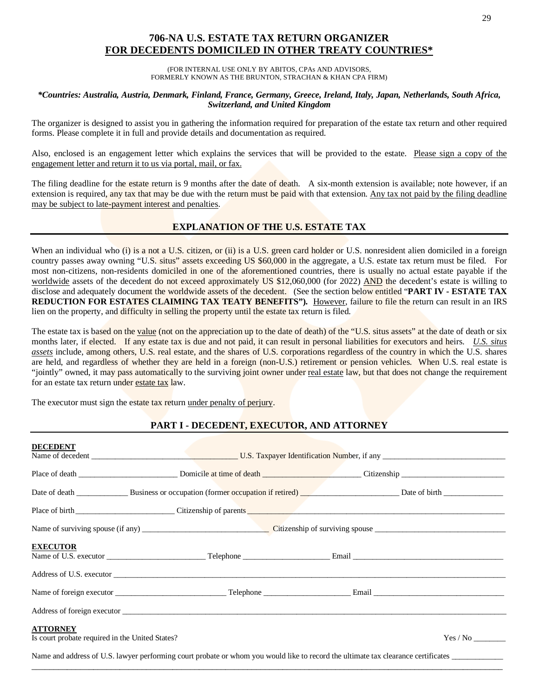## **706-NA U.S. ESTATE TAX RETURN ORGANIZER FOR DECEDENTS DOMICILED IN OTHER TREATY COUNTRIES\***

(FOR INTERNAL USE ONLY BY ABITOS, CPAs AND ADVISORS, FORMERLY KNOWN AS THE BRUNTON, STRACHAN & KHAN CPA FIRM)

#### *\*Countries: Australia, Austria, Denmark, Finland, France, Germany, Greece, Ireland, Italy, Japan, Netherlands, South Africa, Switzerland, and United Kingdom*

The organizer is designed to assist you in gathering the information required for preparation of the estate tax return and other required forms. Please complete it in full and provide details and documentation as required.

Also, enclosed is an engagement letter which explains the services that will be provided to the estate. Please sign a copy of the engagement letter and return it to us via portal, mail, or fax.

The filing deadline for the estate return is 9 months after the date of death. A six-month extension is available; note however, if an extension is required, any tax that may be due with the return must be paid with that extension. Any tax not paid by the filing deadline may be subject to late-payment interest and penalties.

## **EXPLANATION OF THE U.S. ESTATE TAX**

When an individual who (i) is a not a U.S. citizen, or (ii) is a U.S. green card holder or U.S. nonresident alien domiciled in a foreign country passes away owning "U.S. situs" assets exceeding US \$60,000 in the aggregate, a U.S. estate tax return must be filed. For most non-citizens, non-residents domiciled in one of the aforementioned countries, there is usually no actual estate payable if the worldwide assets of the decedent do not exceed approximately US \$12,060,000 (for 2022) AND the decedent's estate is willing to disclose and adequately document the worldwide assets of the decedent. (See the section below entitled "**PART IV - ESTATE TAX REDUCTION FOR ESTATES CLAIMING TAX TEATY BENEFITS").** However, failure to file the return can result in an IRS lien on the property, and difficulty in selling the property until the estate tax return is filed.

The estate tax is based on the value (not on the appreciation up to the date of death) of the "U.S. situs assets" at the date of death or six months later, if elected. If any estate tax is due and not paid, it can result in personal liabilities for executors and heirs. *U.S. situs assets* include, among others, U.S. real estate, and the shares of U.S. corporations regardless of the country in which the U.S. shares are held, and regardless of whether they are held in a foreign (non-U.S.) retirement or pension vehicles. When U.S. real estate is "jointly" owned, it may pass automatically to the surviving joint owner under real estate law, but that does not change the requirement for an estate tax return under estate tax law.

The executor must sign the estate tax return under penalty of perjury.

## **PART I - DECEDENT, EXECUTOR, AND ATTORNEY**

| <b>DECEDENT</b>                                                    |                                                                                                                                                                                                                                |  |          |  |  |
|--------------------------------------------------------------------|--------------------------------------------------------------------------------------------------------------------------------------------------------------------------------------------------------------------------------|--|----------|--|--|
|                                                                    |                                                                                                                                                                                                                                |  |          |  |  |
|                                                                    |                                                                                                                                                                                                                                |  |          |  |  |
|                                                                    | Place of birth City Citizenship of parents Communication of the City of Parents City of Parents City of Parents City of Parents City of Parents City of Parents City of Parents City of Parents City of Parents City of Parent |  |          |  |  |
|                                                                    |                                                                                                                                                                                                                                |  |          |  |  |
| <b>EXECUTOR</b>                                                    |                                                                                                                                                                                                                                |  |          |  |  |
|                                                                    |                                                                                                                                                                                                                                |  |          |  |  |
|                                                                    |                                                                                                                                                                                                                                |  |          |  |  |
|                                                                    | Address of foreign executor and the state of the state of the state of the state of the state of the state of the state of the state of the state of the state of the state of the state of the state of the state of the stat |  |          |  |  |
| <b>ATTORNEY</b><br>Is court probate required in the United States? |                                                                                                                                                                                                                                |  | Yes / No |  |  |
|                                                                    | Name and address of U.S. lawyer performing court probate or whom you would like to record the ultimate tax clearance certificates                                                                                              |  |          |  |  |

\_\_\_\_\_\_\_\_\_\_\_\_\_\_\_\_\_\_\_\_\_\_\_\_\_\_\_\_\_\_\_\_\_\_\_\_\_\_\_\_\_\_\_\_\_\_\_\_\_\_\_\_\_\_\_\_\_\_\_\_\_\_\_\_\_\_\_\_\_\_\_\_\_\_\_\_\_\_\_\_\_\_\_\_\_\_\_\_\_\_\_\_\_\_\_\_\_\_\_\_\_\_\_\_\_\_\_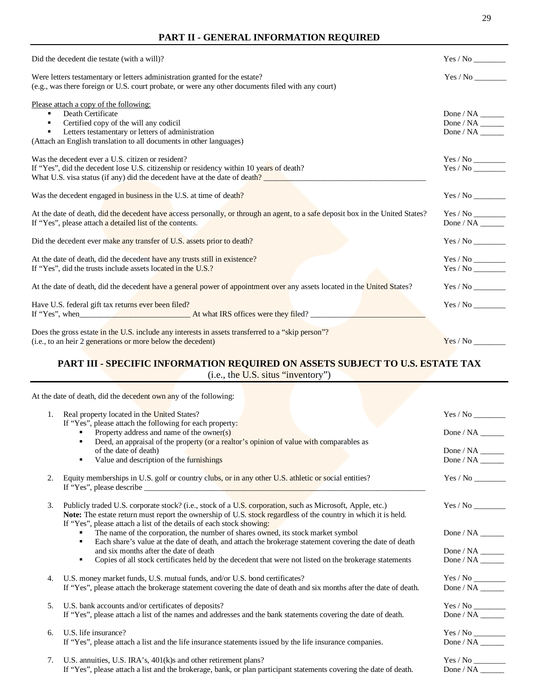#### **PART II - GENERAL INFORMATION REQUIRED**

| Did the decedent die testate (with a will)?                                                                                     | Yes / No                               |
|---------------------------------------------------------------------------------------------------------------------------------|----------------------------------------|
| Were letters testamentary or letters administration granted for the estate?                                                     | Yes / No                               |
| (e.g., was there foreign or U.S. court probate, or were any other documents filed with any court)                               |                                        |
| Please attach a copy of the following:                                                                                          |                                        |
| Death Certificate                                                                                                               |                                        |
| Certified copy of the will any codicil                                                                                          | Done / NA $\_\_\_\_\_\_\_\_\_\_\_\_\_$ |
| Letters testamentary or letters of administration                                                                               | Done / NA                              |
| (Attach an English translation to all documents in other languages)                                                             |                                        |
| Was the decedent ever a U.S. citizen or resident?                                                                               |                                        |
| If "Yes", did the decedent lose U.S. citizenship or residency within 10 years of death?                                         | Yes / No                               |
| What U.S. visa status (if any) did the decedent have at the date of death?                                                      |                                        |
|                                                                                                                                 |                                        |
| Was the decedent engaged in business in the U.S. at time of death?                                                              |                                        |
| At the date of death, did the decedent have access personally, or through an agent, to a safe deposit box in the United States? | $Yes$ / $No$                           |
| If "Yes", please attach a detailed list of the contents.                                                                        |                                        |
|                                                                                                                                 |                                        |
| Did the decedent ever make any transfer of U.S. assets prior to death?                                                          |                                        |
| At the date of death, did the decedent have any trusts still in existence?                                                      |                                        |
| If "Yes", did the trusts include assets located in the U.S.?                                                                    |                                        |
|                                                                                                                                 |                                        |
| At the date of death, did the decedent have a general power of appointment over any assets located in the United States?        | Yes / No                               |
|                                                                                                                                 |                                        |
| Have U.S. federal gift tax returns ever been filed?                                                                             |                                        |
| If "Yes", when <b>At what IRS</b> offices were they filed?                                                                      |                                        |
| Does the gross estate in the U.S. include any interests in assets transferred to a "skip person"?                               |                                        |
| (i.e., to an heir 2 generations or more below the decedent)                                                                     | Yes / No                               |
|                                                                                                                                 |                                        |

# **PART III - SPECIFIC INFORMATION REQUIRED ON ASSETS SUBJECT TO U.S. ESTATE TAX**

(i.e., the U.S. situs "inventory")

At the date of death, did the decedent own any of the following:

| 1. | Real property located in the United States?                                                                        | Yes / No                                       |
|----|--------------------------------------------------------------------------------------------------------------------|------------------------------------------------|
|    | If "Yes", please attach the following for each property:                                                           |                                                |
|    | Property address and name of the owner(s)                                                                          | Done / NA                                      |
|    | Deed, an appraisal of the property (or a realtor's opinion of value with comparables as<br>٠                       |                                                |
|    | of the date of death)                                                                                              |                                                |
|    | Value and description of the furnishings<br>٠                                                                      |                                                |
|    |                                                                                                                    |                                                |
| 2. | Equity memberships in U.S. golf or country clubs, or in any other U.S. athletic or social entities?                |                                                |
|    |                                                                                                                    |                                                |
|    |                                                                                                                    |                                                |
| 3. | Publicly traded U.S. corporate stock? (i.e., stock of a U.S. corporation, such as Microsoft, Apple, etc.)          |                                                |
|    | Note: The estate return must report the ownership of U.S. stock regardless of the country in which it is held.     |                                                |
|    | If "Yes", please attach a list of the details of each stock showing:                                               |                                                |
|    | The name of the corporation, the number of shares owned, its stock market symbol                                   |                                                |
|    | Each share's value at the date of death, and attach the brokerage statement covering the date of death<br>٠        |                                                |
|    | and six months after the date of death                                                                             |                                                |
|    | Copies of all stock certificates held by the decedent that were not listed on the brokerage statements<br>٠        |                                                |
|    |                                                                                                                    |                                                |
| 4. | U.S. money market funds, U.S. mutual funds, and/or U.S. bond certificates?                                         |                                                |
|    | If "Yes", please attach the brokerage statement covering the date of death and six months after the date of death. |                                                |
|    |                                                                                                                    |                                                |
| 5. | U.S. bank accounts and/or certificates of deposits?                                                                |                                                |
|    | If "Yes", please attach a list of the names and addresses and the bank statements covering the date of death.      |                                                |
|    |                                                                                                                    |                                                |
| 6. | U.S. life insurance?                                                                                               | $\mathrm{Yes}\,/\,\mathrm{No}\,\_\!\_\!\_\!\_$ |
|    | If "Yes", please attach a list and the life insurance statements issued by the life insurance companies.           |                                                |
|    |                                                                                                                    |                                                |
| 7. | U.S. annuities, U.S. IRA's, $401(k)$ s and other retirement plans?                                                 |                                                |
|    | If "Yes", please attach a list and the brokerage, bank, or plan participant statements covering the date of death. |                                                |
|    |                                                                                                                    |                                                |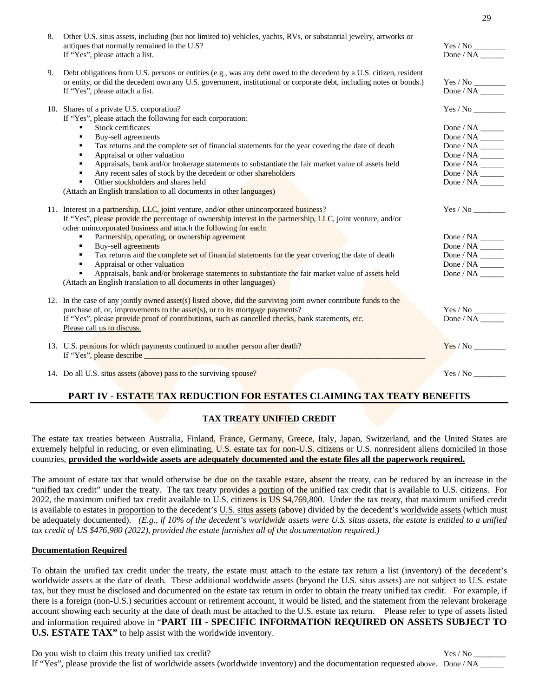| 8. | Other U.S. situs assets, including (but not limited to) vehicles, yachts, RVs, or substantial jewelry, artworks or<br>antiques that normally remained in the U.S?<br>If "Yes", please attach a list.                                                                          | $\mathrm{Yes}\,/\,\mathrm{No}\,\_\!\_\!\_\!\_$<br>Done / NA |
|----|-------------------------------------------------------------------------------------------------------------------------------------------------------------------------------------------------------------------------------------------------------------------------------|-------------------------------------------------------------|
| 9. | Debt obligations from U.S. persons or entities (e.g., was any debt owed to the decedent by a U.S. citizen, resident<br>or entity, or did the decedent own any U.S. government, institutional or corporate debt, including notes or bonds.)<br>If "Yes", please attach a list. | Done / NA                                                   |
|    | 10. Shares of a private U.S. corporation?<br>If "Yes", please attach the following for each corporation:                                                                                                                                                                      |                                                             |
|    | <b>Stock certificates</b><br>٠                                                                                                                                                                                                                                                |                                                             |
|    | Buy-sell agreements<br>٠                                                                                                                                                                                                                                                      | Done / NA $\_\_\_\_\_\_\_\_\_\_\_\_\_$                      |
|    | Tax returns and the complete set of financial statements for the year covering the date of death<br>٠                                                                                                                                                                         |                                                             |
|    | Appraisal or other valuation<br>٠                                                                                                                                                                                                                                             | Done / NA $\_\_\_\_\_\_\_\_\_\_\_\_$                        |
|    | Appraisals, bank and/or brokerage statements to substantiate the fair market value of assets held<br>٠                                                                                                                                                                        |                                                             |
|    | Any recent sales of stock by the decedent or other shareholders<br>٠                                                                                                                                                                                                          | Done / NA $\_\_\_\_\_\_\_\_\_\_\_\_$                        |
|    | Other stockholders and shares held<br>٠                                                                                                                                                                                                                                       | Done / $NA$                                                 |
|    | (Attach an English translation to all documents in other languages)                                                                                                                                                                                                           |                                                             |
|    | 11. Interest in a partnership, LLC, joint venture, and/or other unincorporated business?<br>If "Yes", please provide the percentage of ownership interest in the partnership, LLC, joint venture, and/or<br>other unincorporated business and attach the following for each:  | Yes / No                                                    |
|    | Partnership, operating, or ownership agreement<br>٠                                                                                                                                                                                                                           | Done / NA $\_\_\_\_\_\_\_\_\_\_\_\_$                        |
|    | Buy-sell agreements<br>٠                                                                                                                                                                                                                                                      | Done / NA $\_\_\_\_\_\_\_\_\_\_\_\_$                        |
|    | Tax returns and the complete set of financial statements for the year covering the date of death<br>٠                                                                                                                                                                         |                                                             |
|    | Appraisal or other valuation<br>$\blacksquare$                                                                                                                                                                                                                                |                                                             |
|    | Appraisals, bank and/or brokerage statements to substantiate the fair market value of assets held<br>$\blacksquare$<br>(Attach an English translation to all documents in other languages)                                                                                    |                                                             |
|    | 12. In the case of any jointly owned asset(s) listed above, did the surviving joint owner contribute funds to the                                                                                                                                                             |                                                             |
|    | purchase of, or, improvements to the asset(s), or to its mortgage payments?                                                                                                                                                                                                   |                                                             |
|    | If "Yes", please provide proof of contributions, such as cancelled checks, bank statements, etc.                                                                                                                                                                              |                                                             |
|    | Please call us to discuss.                                                                                                                                                                                                                                                    |                                                             |
|    | 13. U.S. pensions for which payments continued to another person after death?                                                                                                                                                                                                 | Yes / No                                                    |
|    | 14. Do all U.S. situs assets (above) pass to the surviving spouse?                                                                                                                                                                                                            |                                                             |

## **PART IV - ESTATE TAX REDUCTION FOR ESTATES CLAIMING TAX TEATY BENEFITS**

## **TAX TREATY UNIFIED CREDIT**

The estate tax treaties between Australia, Finland, France, Germany, Greece, Italy, Japan, Switzerland, and the United States are extremely helpful in reducing, or even eliminating, U.S. estate tax for non-U.S. citizens or U.S. nonresident aliens domiciled in those countries, **provided the worldwide assets are adequately documented and the estate files all the paperwork required.**

The amount of estate tax that would otherwise be due on the taxable estate, absent the treaty, can be reduced by an increase in the "unified tax credit" under the treaty. The tax treaty provides a portion of the unified tax credit that is available to U.S. citizens. For 2022, the maximum unified tax credit available to U.S. citizens is US \$4,769,800. Under the tax treaty, that maximum unified credit is available to estates in proportion to the decedent's U.S. situs assets (above) divided by the decedent's worldwide assets (which must be adequately documented). *(E.g., if 10% of the decedent's worldwide assets were U.S. situs assets, the estate is entitled to a unified tax credit of US \$476,980 (2022), provided the estate furnishes all of the documentation required.)*

#### **Documentation Required**

To obtain the unified tax credit under the treaty, the estate must attach to the estate tax return a list (inventory) of the decedent's worldwide assets at the date of death. These additional worldwide assets (beyond the U.S. situs assets) are not subject to U.S. estate tax, but they must be disclosed and documented on the estate tax return in order to obtain the treaty unified tax credit. For example, if there is a foreign (non-U.S.) securities account or retirement account, it would be listed, and the statement from the relevant brokerage account showing each security at the date of death must be attached to the U.S. estate tax return. Please refer to type of assets listed and information required above in "**PART III - SPECIFIC INFORMATION REQUIRED ON ASSETS SUBJECT TO U.S. ESTATE TAX"** to help assist with the worldwide inventory.